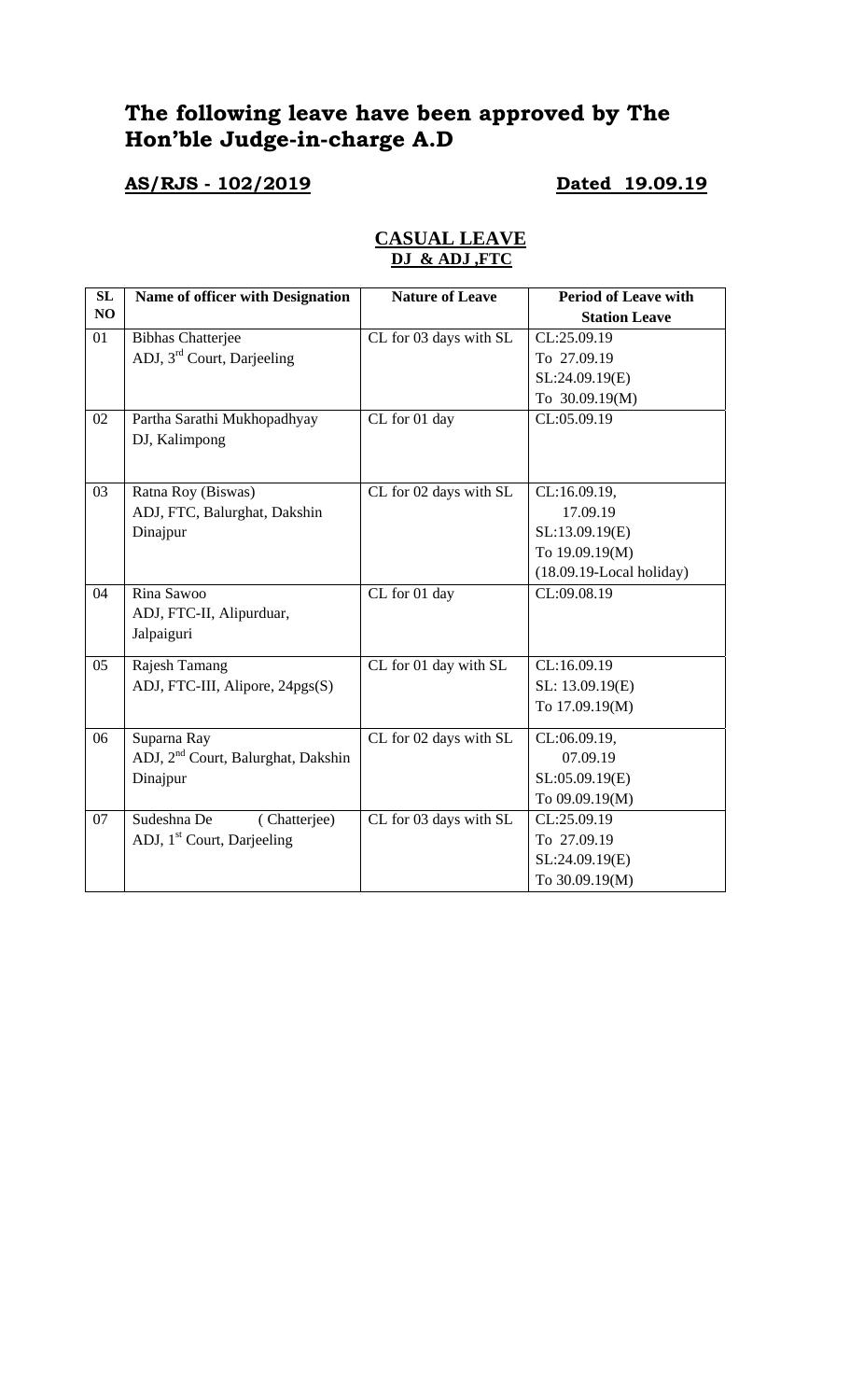# **The following leave have been approved by The Hon'ble Judge-in-charge A.D**

# **AS/RJS - 102/2019 Dated 19.09.19**

| SL | Name of officer with Designation               | <b>Nature of Leave</b> | <b>Period of Leave with</b> |
|----|------------------------------------------------|------------------------|-----------------------------|
| NO |                                                |                        | <b>Station Leave</b>        |
| 01 | <b>Bibhas Chatterjee</b>                       | CL for 03 days with SL | CL:25.09.19                 |
|    | ADJ, 3 <sup>rd</sup> Court, Darjeeling         |                        | To 27.09.19                 |
|    |                                                |                        | SL:24.09.19(E)              |
|    |                                                |                        | To 30.09.19(M)              |
| 02 | Partha Sarathi Mukhopadhyay                    | CL for 01 day          | CL:05.09.19                 |
|    | DJ, Kalimpong                                  |                        |                             |
|    |                                                |                        |                             |
| 03 | Ratna Roy (Biswas)                             | CL for 02 days with SL | CL:16.09.19,                |
|    | ADJ, FTC, Balurghat, Dakshin                   |                        | 17.09.19                    |
|    | Dinajpur                                       |                        | SL:13.09.19(E)              |
|    |                                                |                        | To 19.09.19(M)              |
|    |                                                |                        | $(18.09.19$ -Local holiday) |
| 04 | Rina Sawoo                                     | CL for 01 day          | CL:09.08.19                 |
|    | ADJ, FTC-II, Alipurduar,                       |                        |                             |
|    | Jalpaiguri                                     |                        |                             |
| 05 | Rajesh Tamang                                  | CL for 01 day with SL  | CL:16.09.19                 |
|    | ADJ, FTC-III, Alipore, 24pgs(S)                |                        | SL: 13.09.19(E)             |
|    |                                                |                        | To 17.09.19(M)              |
| 06 | Suparna Ray                                    | CL for 02 days with SL | CL:06.09.19,                |
|    | ADJ, 2 <sup>nd</sup> Court, Balurghat, Dakshin |                        | 07.09.19                    |
|    | Dinajpur                                       |                        | SL:05.09.19(E)              |
|    |                                                |                        | To 09.09.19(M)              |
| 07 | Sudeshna De<br>(Chatterjee)                    | CL for 03 days with SL | CL:25.09.19                 |
|    | ADJ, 1 <sup>st</sup> Court, Darjeeling         |                        | To 27.09.19                 |
|    |                                                |                        | SL:24.09.19(E)              |
|    |                                                |                        | To 30.09.19(M)              |

## **CASUAL LEAVE DJ & ADJ ,FTC**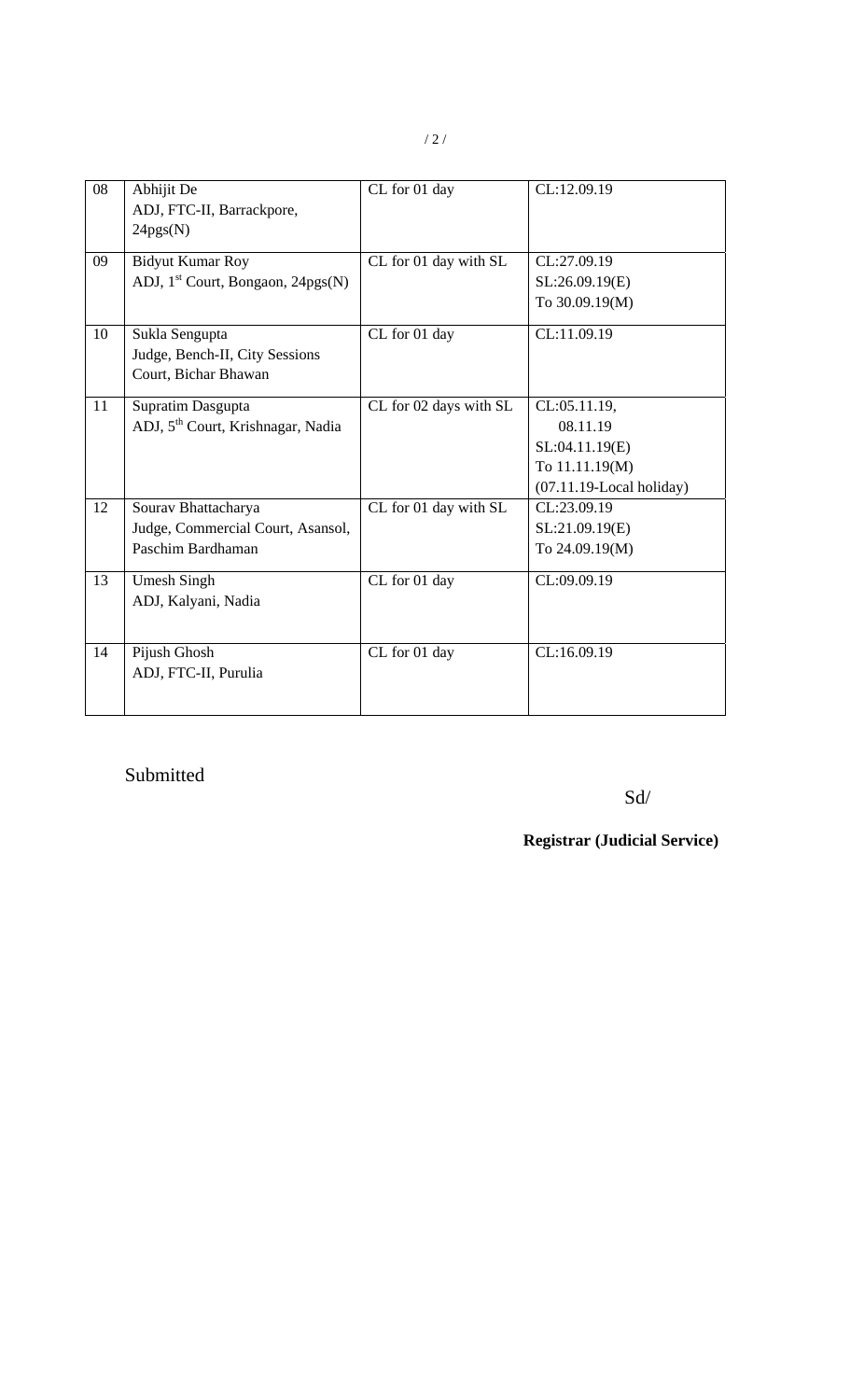| 08 | Abhijit De<br>ADJ, FTC-II, Barrackpore,<br>24pgs(N)                           | CL for 01 day          | CL:12.09.19                                                                                 |
|----|-------------------------------------------------------------------------------|------------------------|---------------------------------------------------------------------------------------------|
| 09 | <b>Bidyut Kumar Roy</b><br>ADJ, 1 <sup>st</sup> Court, Bongaon, 24pgs(N)      | CL for 01 day with SL  | CL:27.09.19<br>SL:26.09.19(E)<br>To 30.09.19(M)                                             |
| 10 | Sukla Sengupta<br>Judge, Bench-II, City Sessions<br>Court, Bichar Bhawan      | CL for 01 day          | CL:11.09.19                                                                                 |
| 11 | Supratim Dasgupta<br>ADJ, 5 <sup>th</sup> Court, Krishnagar, Nadia            | CL for 02 days with SL | CL:05.11.19,<br>08.11.19<br>SL:04.11.19(E)<br>To 11.11.19(M)<br>$(07.11.19$ -Local holiday) |
| 12 | Sourav Bhattacharya<br>Judge, Commercial Court, Asansol,<br>Paschim Bardhaman | CL for 01 day with SL  | CL:23.09.19<br>SL:21.09.19(E)<br>To 24.09.19(M)                                             |
| 13 | <b>Umesh Singh</b><br>ADJ, Kalyani, Nadia                                     | CL for 01 day          | CL:09.09.19                                                                                 |
| 14 | Pijush Ghosh<br>ADJ, FTC-II, Purulia                                          | CL for 01 day          | CL:16.09.19                                                                                 |

# Submitted

### Sd/

## **Registrar (Judicial Service)**